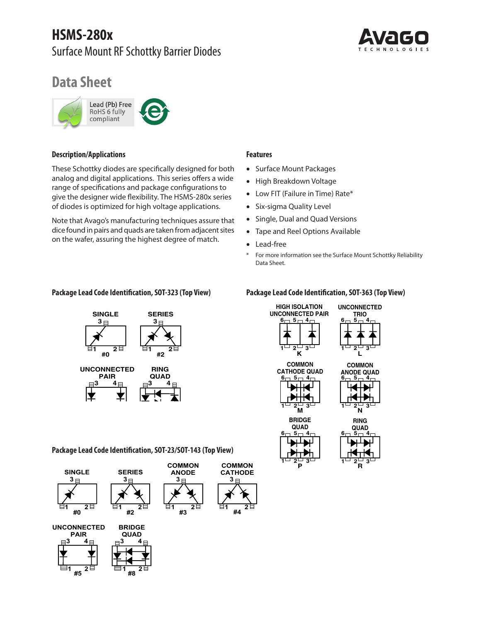# **HSMS-280x**  Surface Mount RF Schottky Barrier Diodes



# **Data Sheet**



# **Description/Applications**

These Schottky diodes are specifically designed for both analog and digital applications. This series offers a wide range of specifications and package configurations to give the designer wide flexibility. The HSMS‑280x series of diodes is optimized for high voltage applications.

Note that Avago's manufacturing techniques assure that dice found in pairs and quads are taken from adjacent sites on the wafer, assuring the highest degree of match.

#### **Features**

- Surface Mount Packages
- High Breakdown Voltage
- Low FIT (Failure in Time) Rate\*
- Six-sigma Quality Level
- Single, Dual and Quad Versions
- Tape and Reel Options Available
- Lead-free
- \* For more information see the Surface Mount Schottky Reliability Data Sheet.



# **Package Lead Code Identification, SOT-323 (Top View) Package Lead Code Identification, SOT-363 (Top View)**



**Package Lead Code Identification, SOT-23/SOT-143 (Top View)**





**#5**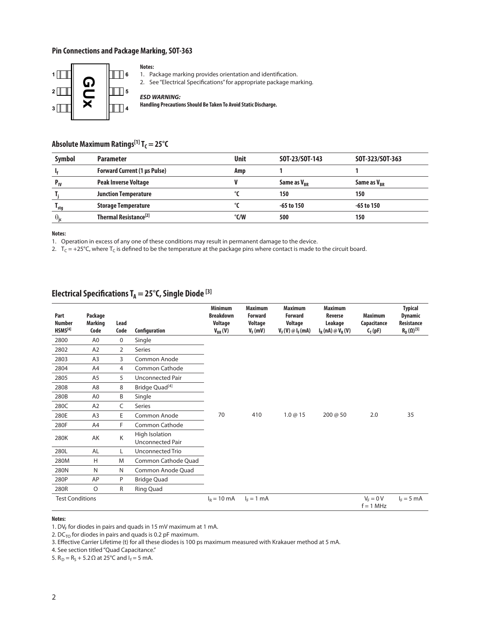### **Pin Connections and Package Marking, SOT-363**



#### **Notes:**

1. Package marking provides orientation and identification.

2. See "Electrical Specifications" for appropriate package marking.

#### *ESD WARNING:*

**Handling Precautions Should Be Taken To Avoid Static Discharge.**

# Absolute Maximum Ratings<sup>[1]</sup> T<sub>C</sub> = 25°C

| <b>Symbol</b>     | <b>Parameter</b>                    | <b>Unit</b>   | SOT-23/SOT-143          | SOT-323/SOT-363         |
|-------------------|-------------------------------------|---------------|-------------------------|-------------------------|
|                   | <b>Forward Current (1 µs Pulse)</b> | Amp           |                         |                         |
| $P_{IV}$          | <b>Peak Inverse Voltage</b>         |               | Same as V <sub>RR</sub> | Same as V <sub>RR</sub> |
|                   | <b>Junction Temperature</b>         |               | 150                     | 150                     |
| l <sub>stg</sub>  | <b>Storage Temperature</b>          |               | $-65$ to 150            | -65 to 150              |
| $\theta_{\rm ic}$ | Thermal Resistance <sup>[2]</sup>   | $\degree$ C/W | 500                     | 150                     |

**Notes:**

1. Operation in excess of any one of these conditions may result in permanent damage to the device.

2.  $T_c = +25^{\circ}$ C, where T<sub>C</sub> is defined to be the temperature at the package pins where contact is made to the circuit board.

# Electrical Specifications T<sub>A</sub> = 25°C, Single Diode<sup>[3]</sup>

| Part<br><b>Number</b><br>HSMS <sup>[4]</sup> | Package<br><b>Marking</b><br>Code | Lead<br>Code   | Configuration                      | <b>Minimum</b><br><b>Breakdown</b><br>Voltage<br>$V_{BR}(V)$ | <b>Maximum</b><br><b>Forward</b><br>Voltage<br>$V_F$ (mV) | <b>Maximum</b><br><b>Forward</b><br>Voltage<br>$V_F(V) \otimes I_F(mA)$ | <b>Maximum</b><br><b>Reverse</b><br>Leakage<br>$I_R(nA) \otimes V_R(V)$ | <b>Maximum</b><br>Capacitance<br>$C_T(pF)$ | <b>Typical</b><br><b>Dynamic</b><br><b>Resistance</b><br>$R_D(\Omega)^{[5]}$ |
|----------------------------------------------|-----------------------------------|----------------|------------------------------------|--------------------------------------------------------------|-----------------------------------------------------------|-------------------------------------------------------------------------|-------------------------------------------------------------------------|--------------------------------------------|------------------------------------------------------------------------------|
| 2800                                         | A <sub>0</sub>                    | $\mathbf 0$    | Single                             |                                                              |                                                           |                                                                         |                                                                         |                                            |                                                                              |
| 2802                                         | A <sub>2</sub>                    | 2              | Series                             |                                                              |                                                           |                                                                         |                                                                         |                                            |                                                                              |
| 2803                                         | A <sub>3</sub>                    | 3              | Common Anode                       |                                                              |                                                           |                                                                         |                                                                         |                                            |                                                                              |
| 2804                                         | A4                                | $\overline{4}$ | Common Cathode                     |                                                              |                                                           |                                                                         |                                                                         |                                            |                                                                              |
| 2805                                         | A <sub>5</sub>                    | 5              | Unconnected Pair                   |                                                              |                                                           |                                                                         |                                                                         |                                            |                                                                              |
| 2808                                         | A <sub>8</sub>                    | 8              | Bridge Quad <sup>[4]</sup>         |                                                              |                                                           |                                                                         |                                                                         |                                            |                                                                              |
| 280B                                         | A <sub>0</sub>                    | B              | Single                             |                                                              |                                                           |                                                                         |                                                                         |                                            |                                                                              |
| 280C                                         | A <sub>2</sub>                    | C              | Series                             |                                                              |                                                           |                                                                         |                                                                         |                                            |                                                                              |
| 280E                                         | A <sub>3</sub>                    | E              | Common Anode                       | 70                                                           | 410                                                       | 1.0@15                                                                  | 200 @ 50                                                                | 2.0                                        | 35                                                                           |
| 280F                                         | A4                                | F              | Common Cathode                     |                                                              |                                                           |                                                                         |                                                                         |                                            |                                                                              |
| 280K                                         | AK                                | Κ              | High Isolation<br>Unconnected Pair |                                                              |                                                           |                                                                         |                                                                         |                                            |                                                                              |
| 280L                                         | <b>AL</b>                         | L.             | Unconnected Trio                   |                                                              |                                                           |                                                                         |                                                                         |                                            |                                                                              |
| 280M                                         | H                                 | M              | Common Cathode Quad                |                                                              |                                                           |                                                                         |                                                                         |                                            |                                                                              |
| 280N                                         | N                                 | N              | Common Anode Quad                  |                                                              |                                                           |                                                                         |                                                                         |                                            |                                                                              |
| 280P                                         | AP                                | P              | <b>Bridge Quad</b>                 |                                                              |                                                           |                                                                         |                                                                         |                                            |                                                                              |
| 280R                                         | $\circ$                           | R              | Ring Quad                          |                                                              |                                                           |                                                                         |                                                                         |                                            |                                                                              |
| <b>Test Conditions</b>                       |                                   |                |                                    | $I_R = 10 \text{ mA}$                                        | $I_F = 1$ mA                                              |                                                                         |                                                                         | $V_F = 0 V$<br>$f = 1$ MHz                 | $I_F = 5$ mA                                                                 |

#### **Notes:**

1. DV<sub>F</sub> for diodes in pairs and quads in 15 mV maximum at 1 mA.

2. DC $_{\tau O}$  for diodes in pairs and quads is 0.2 pF maximum.

3. Effective Carrier Lifetime (t) for all these diodes is 100 ps maximum measured with Krakauer method at 5 mA.

4. See section titled "Quad Capacitance."

5.  $R_D = R_S + 5.2 Ω$  at 25°C and  $I_f = 5$  mA.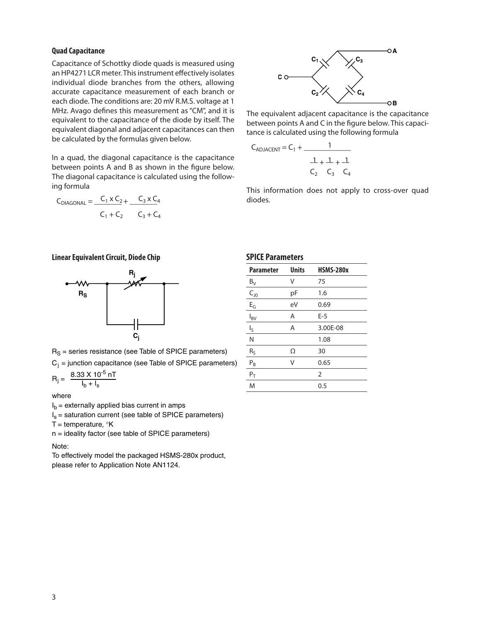#### **Quad Capacitance**

Capacitance of Schottky diode quads is measured using an HP4271 LCR meter. This instrument effectively isolates individual diode branches from the others, allowing accurate capacitance measurement of each branch or each diode. The conditions are: 20 mV R.M.S. voltage at 1 MHz. Avago defines this measurement as "CM", and it is equivalent to the capacitance of the diode by itself. The equivalent diagonal and adjacent capacitances can then be calculated by the formulas given below.

In a quad, the diagonal capacitance is the capacitance between points A and B as shown in the figure below. The diagonal capacitance is calculated using the following formula

$$
C_{DIAGONAL} = \frac{C_1 \times C_2}{C_1 + C_2} + \frac{C_3 \times C_4}{C_3 + C_4}
$$

**Linear Equivalent Circuit, Diode Chip**



 $R<sub>S</sub>$  = series resistance (see Table of SPICE parameters)

 $C_i$  = junction capacitance (see Table of SPICE parameters)

$$
R_{j} = \frac{8.33 \times 10^{-5} \,\mathrm{nT}}{I_{b} + I_{s}}
$$

where

 $I<sub>b</sub>$  = externally applied bias current in amps

 $I_s$  = saturation current (see table of SPICE parameters)

T = temperature,  $\mathrm{K}$ 

 $n =$  ideality factor (see table of SPICE parameters)

Note:

To effectively model the packaged HSMS-280x product, please refer to Application Note AN1124.



The equivalent adjacent capacitance is the capacitance between points A and C in the figure below. This capacitance is calculated using the following formula

$$
C_{ADJACENT} = C_1 + \frac{1}{\frac{1}{C_2} + \frac{1}{C_3} + \frac{1}{C_4}}
$$

This information does not apply to cross-over quad diodes.

| <b>Parameter</b>           | <b>Units</b> | <b>HSMS-280x</b> |
|----------------------------|--------------|------------------|
| $B_V$                      | ٧            | 75               |
| $\mathsf{C}_{\mathsf{J}0}$ | рF           | 1.6              |
| $E_G$                      | eV           | 0.69             |
| $I_{BV}$                   | Α            | $E-5$            |
| $I_{\sf S}$                | A            | 3.00E-08         |
| N                          |              | 1.08             |
| $R_S$                      | Ω            | 30               |
| $P_B$                      | V            | 0.65             |
| $P_T$                      |              | $\overline{2}$   |
| M                          |              | 0.5              |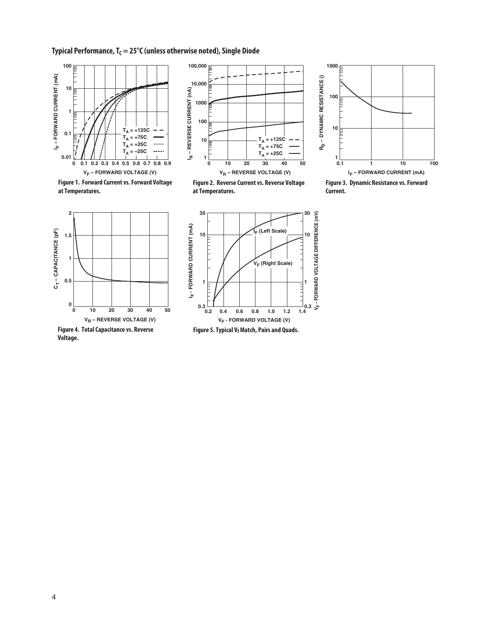### **Typical Performance, T<sub>C</sub> = 25°C (unless otherwise noted), Single Diode**



**Figure 1. Forward Current vs. Forward Voltage at Temperatures.**



**Figure 2. Reverse Current vs. Reverse Voltage at Temperatures.**



**Figure 3. Dynamic Resistance vs. Forward Current.**



**Figure 4. Total Capacitance vs. Reverse Voltage.**



Figure 5. Typical V<sub>f</sub> Match, Pairs and Quads.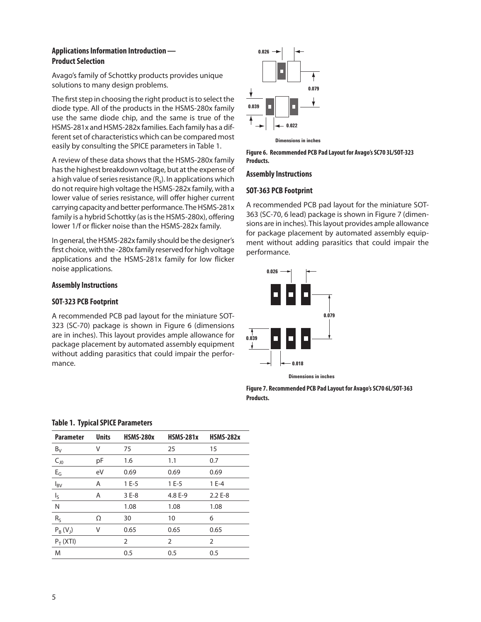## **Applications Information Introduction — Product Selection**

Avago's family of Schottky products provides unique solutions to many design problems.

The first step in choosing the right product is to select the diode type. All of the products in the HSMS‑280x family use the same diode chip, and the same is true of the HSMS-281x and HSMS-282x families. Each family has a different set of characteristics which can be compared most easily by consulting the SPICE parameters in Table 1.

A review of these data shows that the HSMS-280x family has the highest breakdown voltage, but at the expense of a high value of series resistance  $(R_s)$ . In applications which do not require high voltage the HSMS-282x family, with a lower value of series resistance, will offer higher current carrying capacity and better performance. The HSMS-281x family is a hybrid Schottky (as is the HSMS-280x), offering lower 1/f or flicker noise than the HSMS-282x family.

In general, the HSMS-282x family should be the designer's first choice, with the -280x family reserved for high voltage applications and the HSMS-281x family for low flicker noise applications.

### **Assembly Instructions**

### **SOT-323 PCB Footprint**

A recommended PCB pad layout for the miniature SOT-323 (SC-70) package is shown in Figure 6 (dimensions are in inches). This layout provides ample allowance for package placement by automated assembly equipment without adding parasitics that could impair the performance.



**Figure 6. Recommended PCB Pad Layout for Avago's SC70 3L/SOT-323 Products.**

#### **Assembly Instructions**

#### **SOT-363 PCB Footprint**

A recommended PCB pad layout for the miniature SOT-363 (SC-70, 6 lead) package is shown in Figure 7 (dimensions are in inches). This layout provides ample allowance for package placement by automated assembly equipment without adding parasitics that could impair the performance.



**Dimensions in inches**

**Figure 7. Recommended PCB Pad Layout for Avago's SC70 6L/SOT-363 Products.**

| <b>Parameter</b>          | <b>Units</b> | <b>HSMS-280x</b> | <b>HSMS-281x</b> | <b>HSMS-282x</b> |
|---------------------------|--------------|------------------|------------------|------------------|
| $B_V$                     | V            | 75               | 25               | 15               |
| $C_{J0}$                  | рF           | 1.6              | 1.1              | 0.7              |
| $E_G$                     | eV           | 0.69             | 0.69             | 0.69             |
| $I_{BV}$                  | Α            | $1E-5$           | $1E-5$           | $1E-4$           |
| $\mathsf{I}_{\mathsf{S}}$ | Α            | 3 E-8            | 4.8 E-9          | $2.2E - 8$       |
| N                         |              | 1.08             | 1.08             | 1.08             |
| $R_{S}$                   | Ω            | 30               | 10               | 6                |
| $P_R(V_1)$                | ٧            | 0.65             | 0.65             | 0.65             |
| $P_T$ (XTI)               |              | 2                | $\overline{2}$   | 2                |
| M                         |              | 0.5              | 0.5              | 0.5              |

#### **Table 1. Typical SPICE Parameters**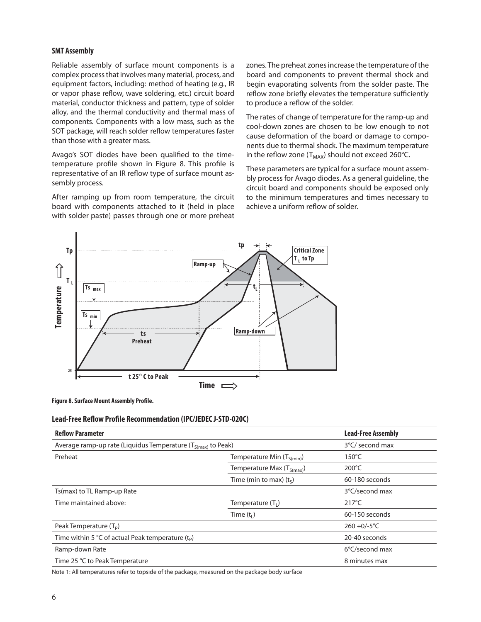#### **SMT Assembly**

Reliable assembly of surface mount components is a complex process that involves many material, process, and equipment factors, including: method of heating (e.g., IR or vapor phase reflow, wave soldering, etc.) circuit board material, conductor thickness and pattern, type of solder alloy, and the thermal conductivity and thermal mass of components. Components with a low mass, such as the SOT package, will reach solder reflow temperatures faster than those with a greater mass.

Avago's SOT diodes have been qualified to the timetemperature profile shown in Figure 8. This profile is representative of an IR reflow type of surface mount assembly process.

After ramping up from room temperature, the circuit board with components attached to it (held in place with solder paste) passes through one or more preheat zones. The preheat zones increase the temperature of the board and components to prevent thermal shock and begin evaporating solvents from the solder paste. The reflow zone briefly elevates the temperature sufficiently to produce a reflow of the solder.

The rates of change of temperature for the ramp-up and cool-down zones are chosen to be low enough to not cause deformation of the board or damage to components due to thermal shock. The maximum temperature in the reflow zone ( $T_{MAX}$ ) should not exceed 260°C.

These parameters are typical for a surface mount assembly process for Avago diodes. As a general guideline, the circuit board and components should be exposed only to the minimum temperatures and times necessary to achieve a uniform reflow of solder.



**Figure 8. Surface Mount Assembly Profile.**

#### **Lead-Free Reflow Profile Recommendation (IPC/JEDEC J-STD-020C)**

| <b>Reflow Parameter</b>                                           | <b>Lead-Free Assembly</b>      |                 |
|-------------------------------------------------------------------|--------------------------------|-----------------|
| Average ramp-up rate (Liquidus Temperature $(T_{S(max)}$ to Peak) | 3°C/ second max                |                 |
| Preheat                                                           | Temperature Min $(T_{S(min)})$ | $150^{\circ}$ C |
|                                                                   | Temperature Max $(T_{S(max)})$ | $200^{\circ}$ C |
|                                                                   | Time (min to max) $(ts)$       | 60-180 seconds  |
| Ts(max) to TL Ramp-up Rate                                        |                                | 3°C/second max  |
| Time maintained above:                                            | Temperature $(T_1)$            | $217^{\circ}$ C |
|                                                                   | Time $(t1)$                    | 60-150 seconds  |
| Peak Temperature $(T_P)$                                          |                                | $260 + 0/-5$ °C |
| Time within 5 °C of actual Peak temperature $(tp)$                |                                | 20-40 seconds   |
| Ramp-down Rate                                                    |                                | 6°C/second max  |
| Time 25 °C to Peak Temperature                                    |                                | 8 minutes max   |

Note 1: All temperatures refer to topside of the package, measured on the package body surface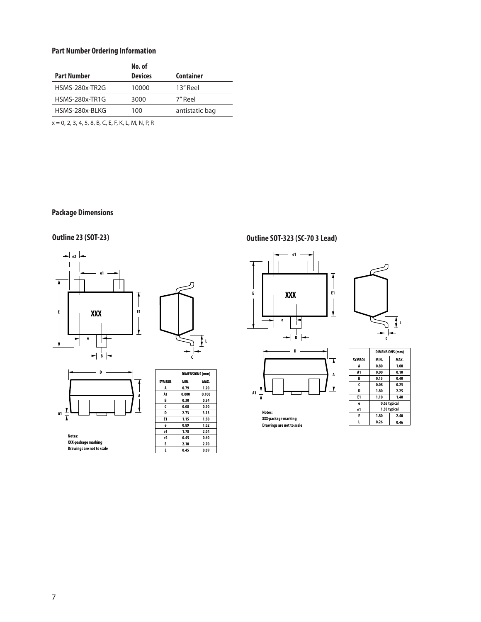# **Part Number Ordering Information**

|                       | No. of         |                |
|-----------------------|----------------|----------------|
| <b>Part Number</b>    | <b>Devices</b> | Container      |
| HSMS-280x-TR2G        | 10000          | 13" Reel       |
| <b>HSMS-280x-TR1G</b> | 3000           | 7" Reel        |
| HSMS-280x-BLKG        | 100            | antistatic bag |

x = 0, 2, 3, 4, 5, 8, B, C, E, F, K, L, M, N, P, R

# **Package Dimensions**







**Notes: XXX-packagemarking Drawings are not to scale**

|               |       | DIMENSIONS (mm) |  |  |
|---------------|-------|-----------------|--|--|
| <b>SYMBOL</b> | MIN.  | MAX.            |  |  |
| A             | 0.79  | 1.20            |  |  |
| A1            | 0.000 | 0.100           |  |  |
| B             | 0.30  | 0.54            |  |  |
| C             | 0.08  | 0.20            |  |  |
| D             | 2.73  | 3.13            |  |  |
| E1            | 1.15  | 1.50            |  |  |
| e             | 0.89  | 1.02            |  |  |
| e1            | 1.78  | 2.04            |  |  |
| e2            | 0.45  | 0.60            |  |  |
| E             | 2.10  | 2.70            |  |  |
|               | 0.45  | 0.69            |  |  |

# **Outline 23 (SOT-23) Outline SOT-323 (SC-70 3 Lead)**







**Notes: XXX-packagemarking Drawings are not to scale**

|               | <b>DIMENSIONS (mm)</b> |              |  |
|---------------|------------------------|--------------|--|
| <b>SYMBOL</b> | MIN.                   | MAX.         |  |
| A             | 0.80                   | 1.00         |  |
| A1            | 0.00                   | 0.10         |  |
| B             | 0.15                   | 0.40         |  |
| C             | 0.08                   | 0.25         |  |
| D             | 1.80                   | 2.25         |  |
| E1            | 1.10                   | 1.40         |  |
| e             |                        | 0.65 typical |  |
| e1            |                        | 1.30 typical |  |
| E             | 1.80                   | 2.40         |  |
|               | 0.26                   | 0.46         |  |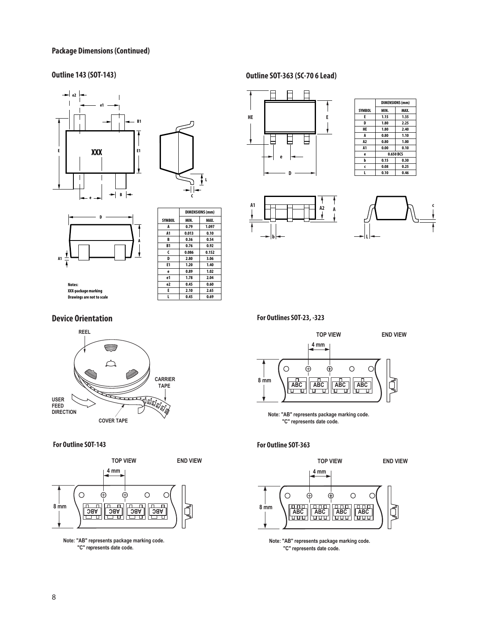#### **Package Dimensions (Continued)**





 $\overline{1}$ 



|               | UIMENJIVNJ (IIIIII) |       |  |
|---------------|---------------------|-------|--|
| <b>SYMBOL</b> | MIN.                | MAX.  |  |
| A             | 0.79                | 1.097 |  |
| A1            | 0.013               | 0.10  |  |
| B             | 0.36                | 0.54  |  |
| B1            | 0.76                | 0.92  |  |
| C             | 0.086               | 0.152 |  |
| D             | 2.80                | 3.06  |  |
| E1            | 1.20                | 1.40  |  |
| e             | 0.89                | 1.02  |  |
| e1            | 1.78                | 2.04  |  |
| e2            | 0.45                | 0.60  |  |
| E             | 2.10                | 2.65  |  |
|               | 0.45                | 0.69  |  |

**DIMENSIONS(mm)**

٦

**Notes: XXX-packagemarking Drawings are not to scale**

#### **Device Orientation**



**For Outline SOT-143**



**Note: "AB" represents package marking code. "C" represents date code.**

# **Outline 143 (SOT-143) Outline SOT-363 (SC-70 6 Lead)**



|                | <b>DIMENSIONS (mm)</b> |      |  |  |
|----------------|------------------------|------|--|--|
| <b>SYMBOL</b>  | MIN.                   | MAX. |  |  |
| E              | 1.15                   | 1.35 |  |  |
| D              | 1.80                   | 2.25 |  |  |
| HE             | 1.80                   | 2.40 |  |  |
| A              | 0.80                   | 1.10 |  |  |
| A <sub>2</sub> | 0.80                   | 1.00 |  |  |
| A <sub>1</sub> | 0.00                   | 0.10 |  |  |
| ė              | 0.650 BCS              |      |  |  |
| b              | 0.15                   | 0.30 |  |  |
| Ć              | 0.08                   | 0.25 |  |  |
|                | 0.10                   | 0.46 |  |  |





**For Outlines SOT-23, -323**



**Note: "AB" represents package marking code. "C" represents date code.**

#### **For Outline SOT-363**



**Note: "AB" represents package marking code. "C" represents date code.**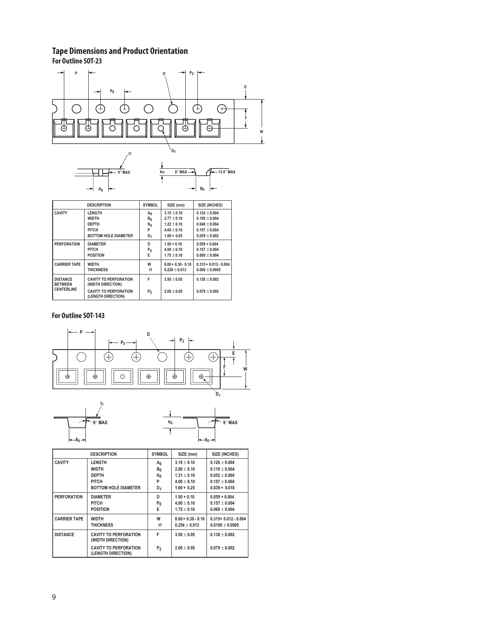# **Tape Dimensions and Product Orientation**

**A0**

**For Outline SOT-23**



**B0**

|                                   | <b>DESCRIPTION</b>                                 | <b>SYMBOL</b>  | SIZE (mm)            | SIZE (INCHES)           |
|-----------------------------------|----------------------------------------------------|----------------|----------------------|-------------------------|
| <b>CAVITY</b>                     | <b>LENGTH</b>                                      | $A_0$          | $3.15 + 0.10$        | $0.124 + 0.004$         |
|                                   | <b>WIDTH</b>                                       | $B_0$          | $2.77 + 0.10$        | $0.109 + 0.004$         |
|                                   | <b>DEPTH</b>                                       | K <sub>0</sub> | $1.22 + 0.10$        | $0.048 + 0.004$         |
|                                   | PITCH                                              | P              | $4.00 + 0.10$        | $0.157 + 0.004$         |
|                                   | <b>BOTTOM HOLE DIAMETER</b>                        | D <sub>1</sub> | $1.00 + 0.05$        | $0.039 + 0.002$         |
| <b>PERFORATION</b>                | <b>DIAMETER</b>                                    | D              | $1.50 + 0.10$        | $0.059 + 0.004$         |
|                                   | PITCH                                              | $P_0$          | $4.00 + 0.10$        | $0.157 + 0.004$         |
|                                   | <b>POSITION</b>                                    | E              | $1.75 + 0.10$        | $0.069 + 0.004$         |
| <b>CARRIER TAPE</b>               | <b>WIDTH</b>                                       | W              | $8.00 + 0.30 - 0.10$ | $0.315 + 0.012 - 0.004$ |
|                                   | <b>THICKNESS</b>                                   | $11$           | $0.229 + 0.013$      | $0.009 \pm 0.0005$      |
| <b>DISTANCE</b><br><b>BETWEEN</b> | <b>CAVITY TO PERFORATION</b><br>(WIDTH DIRECTION)  | F              | $3.50 \pm 0.05$      | $0.138 + 0.002$         |
| <b>CENTERLINE</b>                 | <b>CAVITY TO PERFORATION</b><br>(LENGTH DIRECTION) | P <sub>2</sub> | $2.00 + 0.05$        | $0.079 + 0.002$         |

### **For Outline SOT-143**

**A0**





|                     | <b>DESCRIPTION</b>                                 | <b>SYMBOL</b> | SIZE (mm)                               | SIZE (INCHES)                                |
|---------------------|----------------------------------------------------|---------------|-----------------------------------------|----------------------------------------------|
| <b>CAVITY</b>       | <b>LENGTH</b><br><b>WIDTH</b>                      | Αņ            | $3.19 + 0.10$<br>$2.80 + 0.10$          | $0.126 + 0.004$<br>$0.110 + 0.004$           |
|                     | <b>DEPTH</b>                                       | $B_0$<br>Κŋ   | $1.31 + 0.10$                           | $0.052 + 0.004$                              |
|                     | <b>PITCH</b><br><b>BOTTOM HOLE DIAMETER</b>        | P<br>$D_1$    | $4.00 + 0.10$<br>$1.00 + 0.25$          | $0.157 + 0.004$<br>$0.039 + 0.010$           |
| <b>PERFORATION</b>  | <b>DIAMETER</b>                                    | D             | $1.50 + 0.10$                           | $0.059 + 0.004$                              |
|                     | <b>PITCH</b><br><b>POSITION</b>                    | $P_0$<br>E    | $4.00 + 0.10$<br>$1.75 + 0.10$          | $0.157 + 0.004$<br>$0.069 + 0.004$           |
| <b>CARRIER TAPE</b> | <b>WIDTH</b><br><b>THICKNESS</b>                   | W<br>t1       | $8.00 + 0.30 - 0.10$<br>$0.254 + 0.013$ | $0.315 + 0.012 - 0.004$<br>$0.0100 + 0.0005$ |
| <b>DISTANCE</b>     | <b>CAVITY TO PERFORATION</b><br>(WIDTH DIRECTION)  | F             | $3.50 + 0.05$                           | $0.138 + 0.002$                              |
|                     | <b>CAVITY TO PERFORATION</b><br>(LENGTH DIRECTION) | P2            | $2.00 + 0.05$                           | $0.079 + 0.002$                              |